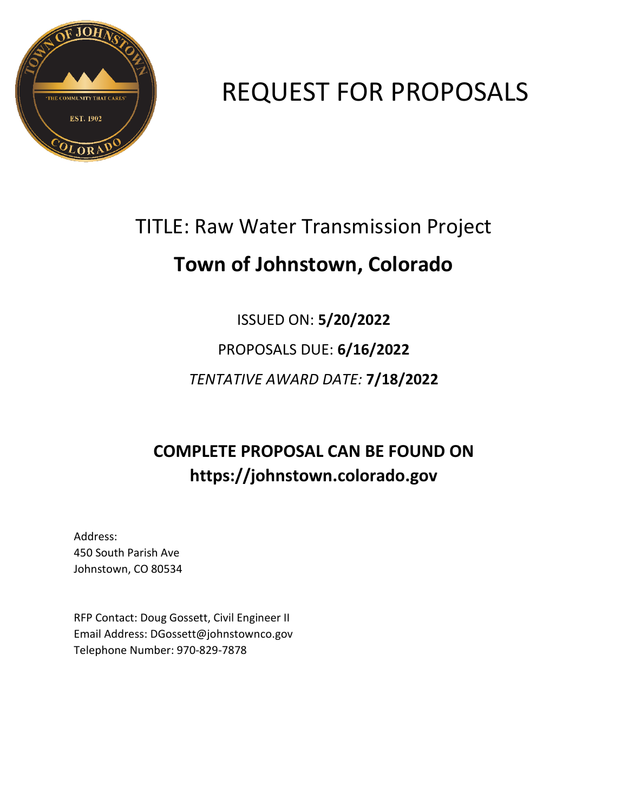

# REQUEST FOR PROPOSALS

# TITLE: Raw Water Transmission Project

# **Town of Johnstown, Colorado**

# ISSUED ON: **5/20/2022** PROPOSALS DUE: **6/16/2022** *TENTATIVE AWARD DATE:* **7/18/2022**

# **COMPLETE PROPOSAL CAN BE FOUND ON https://johnstown.colorado.gov**

Address: 450 South Parish Ave Johnstown, CO 80534

RFP Contact: Doug Gossett, Civil Engineer II Email Address: DGossett@johnstownco.gov Telephone Number: 970-829-7878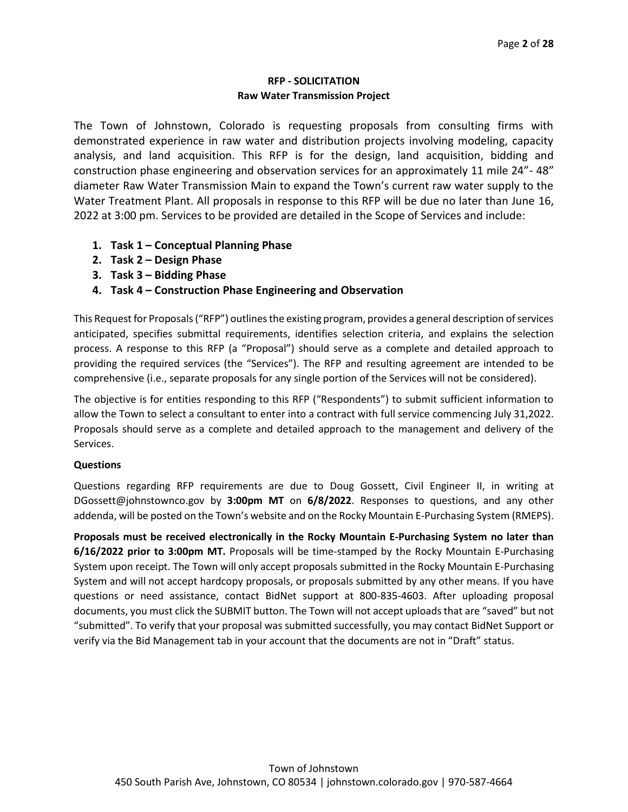#### **RFP - SOLICITATION Raw Water Transmission Project**

The Town of Johnstown, Colorado is requesting proposals from consulting firms with demonstrated experience in raw water and distribution projects involving modeling, capacity analysis, and land acquisition. This RFP is for the design, land acquisition, bidding and construction phase engineering and observation services for an approximately 11 mile 24"- 48" diameter Raw Water Transmission Main to expand the Town's current raw water supply to the Water Treatment Plant. All proposals in response to this RFP will be due no later than June 16, 2022 at 3:00 pm. Services to be provided are detailed in the Scope of Services and include:

- **1. Task 1 – Conceptual Planning Phase**
- **2. Task 2 – Design Phase**
- **3. Task 3 – Bidding Phase**
- **4. Task 4 – Construction Phase Engineering and Observation**

This Request for Proposals ("RFP") outlines the existing program, provides a general description of services anticipated, specifies submittal requirements, identifies selection criteria, and explains the selection process. A response to this RFP (a "Proposal") should serve as a complete and detailed approach to providing the required services (the "Services"). The RFP and resulting agreement are intended to be comprehensive (i.e., separate proposals for any single portion of the Services will not be considered).

The objective is for entities responding to this RFP ("Respondents") to submit sufficient information to allow the Town to select a consultant to enter into a contract with full service commencing July 31,2022. Proposals should serve as a complete and detailed approach to the management and delivery of the Services.

#### **Questions**

Questions regarding RFP requirements are due to Doug Gossett, Civil Engineer II, in writing at DGossett@johnstownco.gov by **3:00pm MT** on **6/8/2022**. Responses to questions, and any other addenda, will be posted on the Town's website and on the Rocky Mountain E-Purchasing System (RMEPS).

**Proposals must be received electronically in the Rocky Mountain E-Purchasing System no later than 6/16/2022 prior to 3:00pm MT.** Proposals will be time-stamped by the Rocky Mountain E-Purchasing System upon receipt. The Town will only accept proposals submitted in the Rocky Mountain E-Purchasing System and will not accept hardcopy proposals, or proposals submitted by any other means. If you have questions or need assistance, contact BidNet support at 800-835-4603. After uploading proposal documents, you must click the SUBMIT button. The Town will not accept uploads that are "saved" but not "submitted". To verify that your proposal was submitted successfully, you may contact BidNet Support or verify via the Bid Management tab in your account that the documents are not in "Draft" status.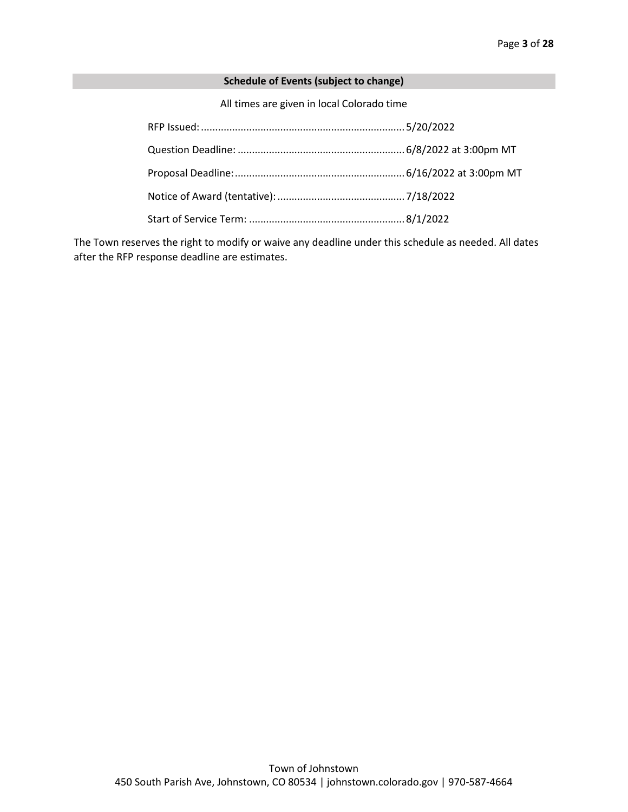#### **Schedule of Events (subject to change)**

All times are given in local Colorado time

The Town reserves the right to modify or waive any deadline under this schedule as needed. All dates after the RFP response deadline are estimates.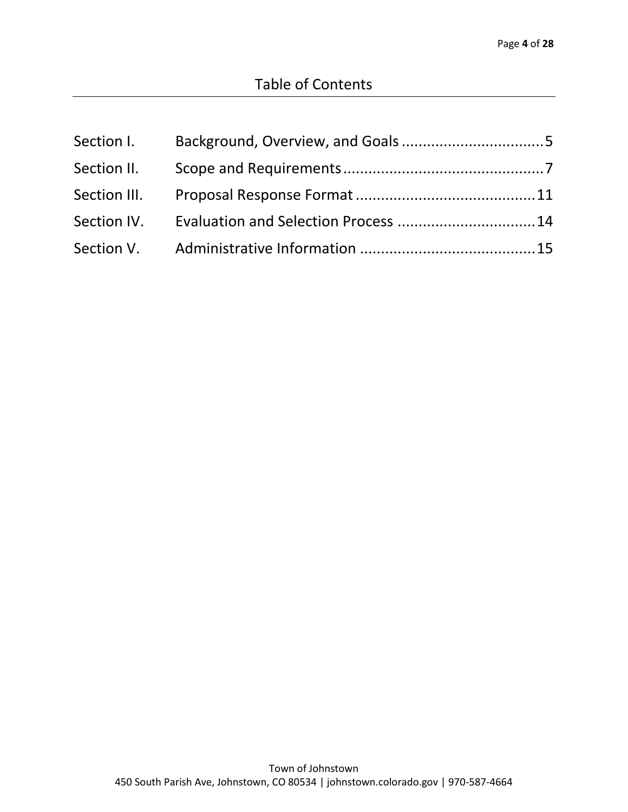| Section I.   |  |
|--------------|--|
| Section II.  |  |
| Section III. |  |
| Section IV.  |  |
|              |  |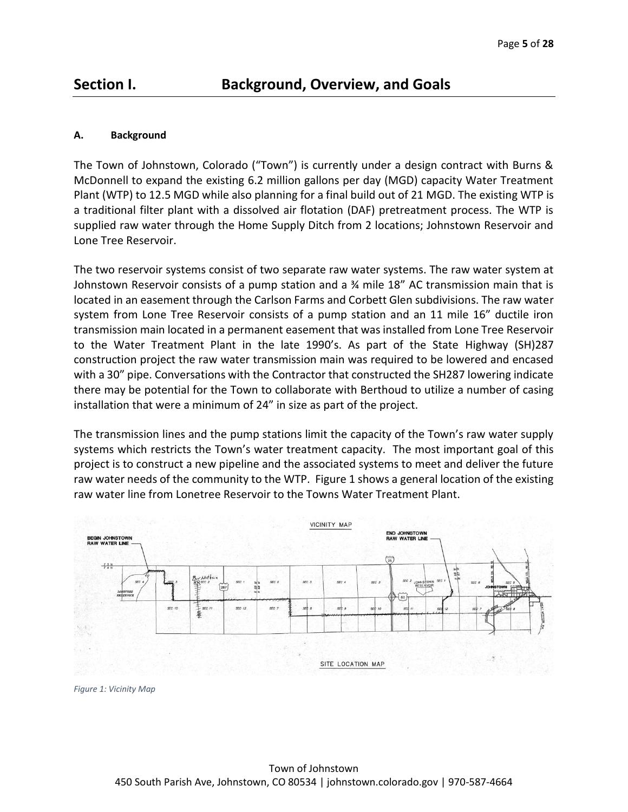# <span id="page-4-0"></span>**Section I. Background, Overview, and Goals**

#### **A. Background**

The Town of Johnstown, Colorado ("Town") is currently under a design contract with Burns & McDonnell to expand the existing 6.2 million gallons per day (MGD) capacity Water Treatment Plant (WTP) to 12.5 MGD while also planning for a final build out of 21 MGD. The existing WTP is a traditional filter plant with a dissolved air flotation (DAF) pretreatment process. The WTP is supplied raw water through the Home Supply Ditch from 2 locations; Johnstown Reservoir and Lone Tree Reservoir.

The two reservoir systems consist of two separate raw water systems. The raw water system at Johnstown Reservoir consists of a pump station and a ¾ mile 18" AC transmission main that is located in an easement through the Carlson Farms and Corbett Glen subdivisions. The raw water system from Lone Tree Reservoir consists of a pump station and an 11 mile 16" ductile iron transmission main located in a permanent easement that was installed from Lone Tree Reservoir to the Water Treatment Plant in the late 1990's. As part of the State Highway (SH)287 construction project the raw water transmission main was required to be lowered and encased with a 30" pipe. Conversations with the Contractor that constructed the SH287 lowering indicate there may be potential for the Town to collaborate with Berthoud to utilize a number of casing installation that were a minimum of 24" in size as part of the project.

The transmission lines and the pump stations limit the capacity of the Town's raw water supply systems which restricts the Town's water treatment capacity. The most important goal of this project is to construct a new pipeline and the associated systems to meet and deliver the future raw water needs of the community to the WTP. Figure 1 shows a general location of the existing raw water line from Lonetree Reservoir to the Towns Water Treatment Plant.



*Figure 1: Vicinity Map*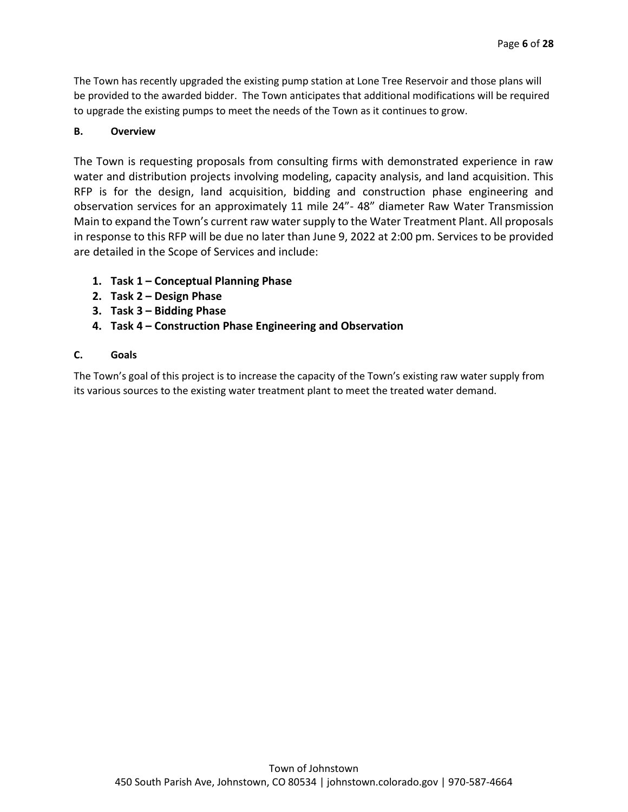The Town has recently upgraded the existing pump station at Lone Tree Reservoir and those plans will be provided to the awarded bidder. The Town anticipates that additional modifications will be required to upgrade the existing pumps to meet the needs of the Town as it continues to grow.

### **B. Overview**

The Town is requesting proposals from consulting firms with demonstrated experience in raw water and distribution projects involving modeling, capacity analysis, and land acquisition. This RFP is for the design, land acquisition, bidding and construction phase engineering and observation services for an approximately 11 mile 24"- 48" diameter Raw Water Transmission Main to expand the Town's current raw water supply to the Water Treatment Plant. All proposals in response to this RFP will be due no later than June 9, 2022 at 2:00 pm. Services to be provided are detailed in the Scope of Services and include:

- **1. Task 1 – Conceptual Planning Phase**
- **2. Task 2 – Design Phase**
- **3. Task 3 – Bidding Phase**
- **4. Task 4 – Construction Phase Engineering and Observation**

#### **C. Goals**

The Town's goal of this project is to increase the capacity of the Town's existing raw water supply from its various sources to the existing water treatment plant to meet the treated water demand.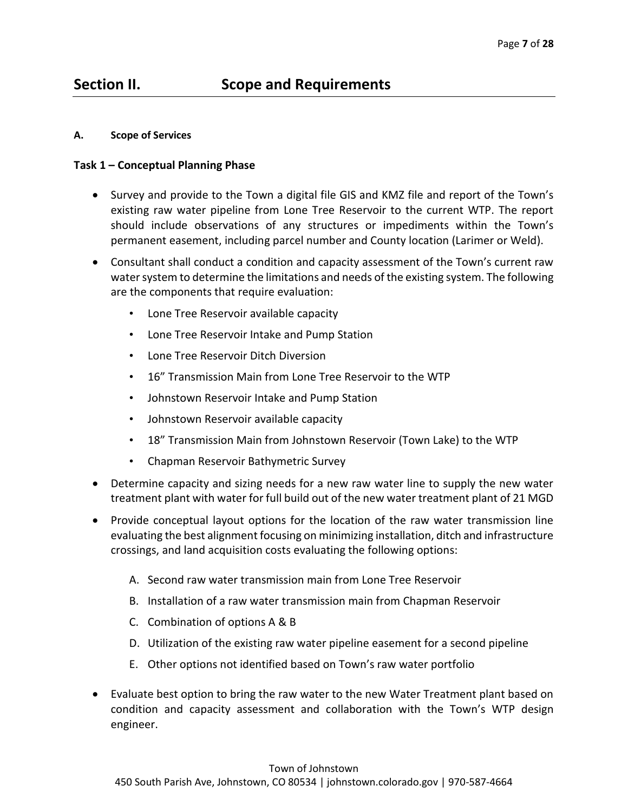# <span id="page-6-0"></span>**Section II. Scope and Requirements**

#### **A. Scope of Services**

#### **Task 1 – Conceptual Planning Phase**

- Survey and provide to the Town a digital file GIS and KMZ file and report of the Town's existing raw water pipeline from Lone Tree Reservoir to the current WTP. The report should include observations of any structures or impediments within the Town's permanent easement, including parcel number and County location (Larimer or Weld).
- Consultant shall conduct a condition and capacity assessment of the Town's current raw water system to determine the limitations and needs of the existing system. The following are the components that require evaluation:
	- Lone Tree Reservoir available capacity
	- Lone Tree Reservoir Intake and Pump Station
	- Lone Tree Reservoir Ditch Diversion
	- 16" Transmission Main from Lone Tree Reservoir to the WTP
	- Johnstown Reservoir Intake and Pump Station
	- Johnstown Reservoir available capacity
	- 18" Transmission Main from Johnstown Reservoir (Town Lake) to the WTP
	- Chapman Reservoir Bathymetric Survey
- Determine capacity and sizing needs for a new raw water line to supply the new water treatment plant with water for full build out of the new water treatment plant of 21 MGD
- Provide conceptual layout options for the location of the raw water transmission line evaluating the best alignment focusing on minimizing installation, ditch and infrastructure crossings, and land acquisition costs evaluating the following options:
	- A. Second raw water transmission main from Lone Tree Reservoir
	- B. Installation of a raw water transmission main from Chapman Reservoir
	- C. Combination of options A & B
	- D. Utilization of the existing raw water pipeline easement for a second pipeline
	- E. Other options not identified based on Town's raw water portfolio
- Evaluate best option to bring the raw water to the new Water Treatment plant based on condition and capacity assessment and collaboration with the Town's WTP design engineer.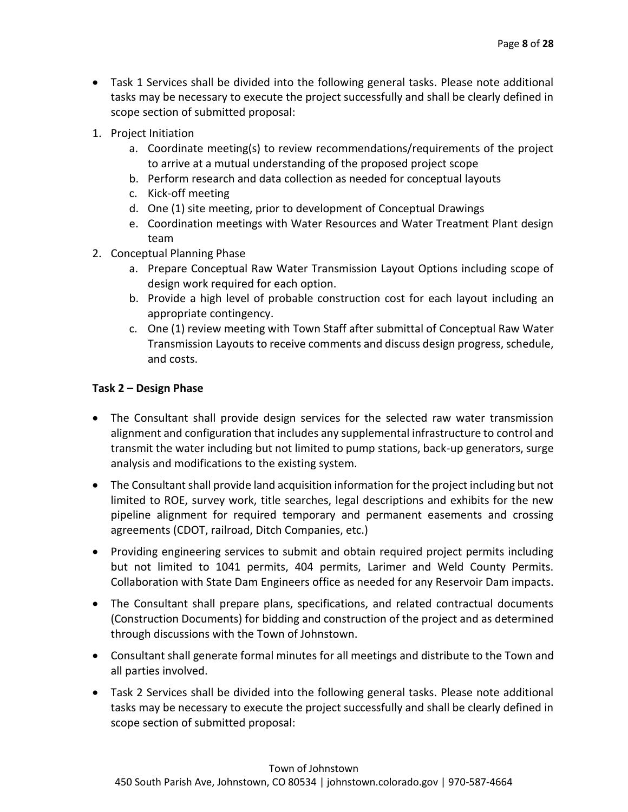- Task 1 Services shall be divided into the following general tasks. Please note additional tasks may be necessary to execute the project successfully and shall be clearly defined in scope section of submitted proposal:
- 1. Project Initiation
	- a. Coordinate meeting(s) to review recommendations/requirements of the project to arrive at a mutual understanding of the proposed project scope
	- b. Perform research and data collection as needed for conceptual layouts
	- c. Kick-off meeting
	- d. One (1) site meeting, prior to development of Conceptual Drawings
	- e. Coordination meetings with Water Resources and Water Treatment Plant design team
- 2. Conceptual Planning Phase
	- a. Prepare Conceptual Raw Water Transmission Layout Options including scope of design work required for each option.
	- b. Provide a high level of probable construction cost for each layout including an appropriate contingency.
	- c. One (1) review meeting with Town Staff after submittal of Conceptual Raw Water Transmission Layouts to receive comments and discuss design progress, schedule, and costs.

### **Task 2 – Design Phase**

- The Consultant shall provide design services for the selected raw water transmission alignment and configuration that includes any supplemental infrastructure to control and transmit the water including but not limited to pump stations, back-up generators, surge analysis and modifications to the existing system.
- The Consultant shall provide land acquisition information for the project including but not limited to ROE, survey work, title searches, legal descriptions and exhibits for the new pipeline alignment for required temporary and permanent easements and crossing agreements (CDOT, railroad, Ditch Companies, etc.)
- Providing engineering services to submit and obtain required project permits including but not limited to 1041 permits, 404 permits, Larimer and Weld County Permits. Collaboration with State Dam Engineers office as needed for any Reservoir Dam impacts.
- The Consultant shall prepare plans, specifications, and related contractual documents (Construction Documents) for bidding and construction of the project and as determined through discussions with the Town of Johnstown.
- Consultant shall generate formal minutes for all meetings and distribute to the Town and all parties involved.
- Task 2 Services shall be divided into the following general tasks. Please note additional tasks may be necessary to execute the project successfully and shall be clearly defined in scope section of submitted proposal: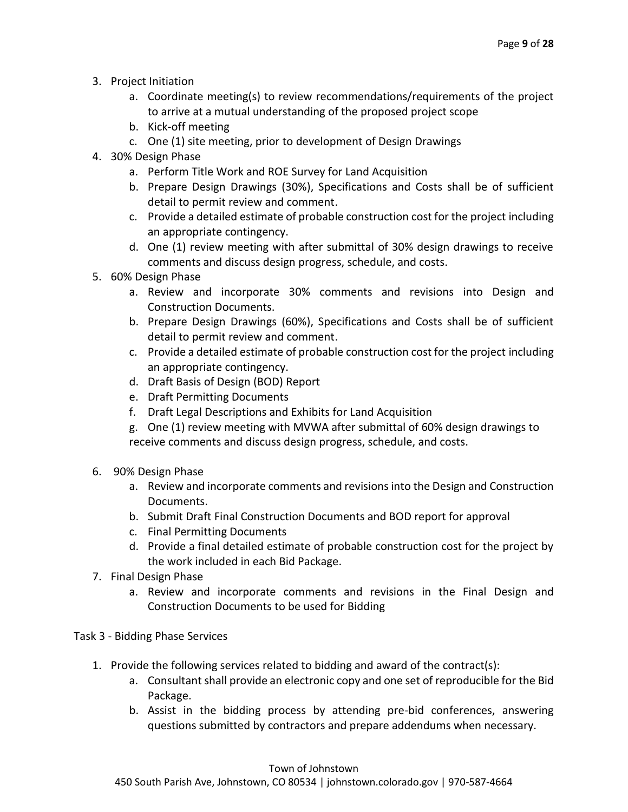- 3. Project Initiation
	- a. Coordinate meeting(s) to review recommendations/requirements of the project to arrive at a mutual understanding of the proposed project scope
	- b. Kick-off meeting
	- c. One (1) site meeting, prior to development of Design Drawings
- 4. 30% Design Phase
	- a. Perform Title Work and ROE Survey for Land Acquisition
	- b. Prepare Design Drawings (30%), Specifications and Costs shall be of sufficient detail to permit review and comment.
	- c. Provide a detailed estimate of probable construction cost for the project including an appropriate contingency.
	- d. One (1) review meeting with after submittal of 30% design drawings to receive comments and discuss design progress, schedule, and costs.
- 5. 60% Design Phase
	- a. Review and incorporate 30% comments and revisions into Design and Construction Documents.
	- b. Prepare Design Drawings (60%), Specifications and Costs shall be of sufficient detail to permit review and comment.
	- c. Provide a detailed estimate of probable construction cost for the project including an appropriate contingency.
	- d. Draft Basis of Design (BOD) Report
	- e. Draft Permitting Documents
	- f. Draft Legal Descriptions and Exhibits for Land Acquisition
	- g. One (1) review meeting with MVWA after submittal of 60% design drawings to receive comments and discuss design progress, schedule, and costs.
- 6. 90% Design Phase
	- a. Review and incorporate comments and revisions into the Design and Construction Documents.
	- b. Submit Draft Final Construction Documents and BOD report for approval
	- c. Final Permitting Documents
	- d. Provide a final detailed estimate of probable construction cost for the project by the work included in each Bid Package.
- 7. Final Design Phase
	- a. Review and incorporate comments and revisions in the Final Design and Construction Documents to be used for Bidding

#### Task 3 - Bidding Phase Services

- 1. Provide the following services related to bidding and award of the contract(s):
	- a. Consultant shall provide an electronic copy and one set of reproducible for the Bid Package.
	- b. Assist in the bidding process by attending pre-bid conferences, answering questions submitted by contractors and prepare addendums when necessary.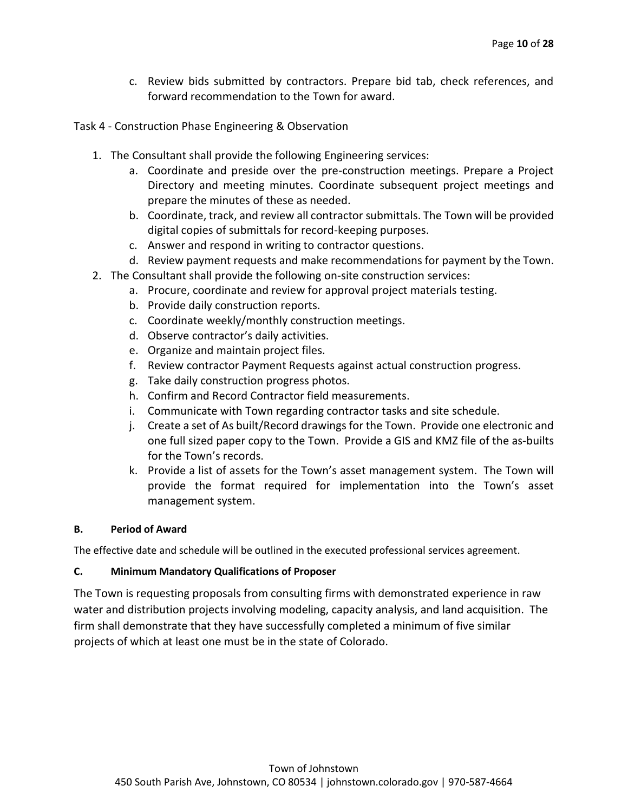c. Review bids submitted by contractors. Prepare bid tab, check references, and forward recommendation to the Town for award.

Task 4 - Construction Phase Engineering & Observation

- 1. The Consultant shall provide the following Engineering services:
	- a. Coordinate and preside over the pre-construction meetings. Prepare a Project Directory and meeting minutes. Coordinate subsequent project meetings and prepare the minutes of these as needed.
	- b. Coordinate, track, and review all contractor submittals. The Town will be provided digital copies of submittals for record-keeping purposes.
	- c. Answer and respond in writing to contractor questions.
	- d. Review payment requests and make recommendations for payment by the Town.
- 2. The Consultant shall provide the following on-site construction services:
	- a. Procure, coordinate and review for approval project materials testing.
	- b. Provide daily construction reports.
	- c. Coordinate weekly/monthly construction meetings.
	- d. Observe contractor's daily activities.
	- e. Organize and maintain project files.
	- f. Review contractor Payment Requests against actual construction progress.
	- g. Take daily construction progress photos.
	- h. Confirm and Record Contractor field measurements.
	- i. Communicate with Town regarding contractor tasks and site schedule.
	- j. Create a set of As built/Record drawings for the Town. Provide one electronic and one full sized paper copy to the Town. Provide a GIS and KMZ file of the as-builts for the Town's records.
	- k. Provide a list of assets for the Town's asset management system. The Town will provide the format required for implementation into the Town's asset management system.

#### **B. Period of Award**

The effective date and schedule will be outlined in the executed professional services agreement.

#### **C. Minimum Mandatory Qualifications of Proposer**

The Town is requesting proposals from consulting firms with demonstrated experience in raw water and distribution projects involving modeling, capacity analysis, and land acquisition. The firm shall demonstrate that they have successfully completed a minimum of five similar projects of which at least one must be in the state of Colorado.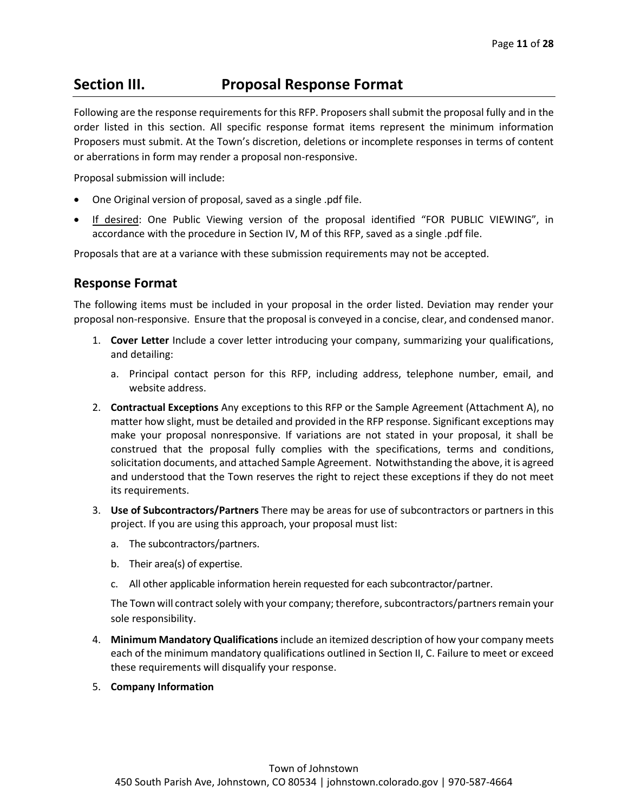# <span id="page-10-0"></span>**Section III. Proposal Response Format**

Following are the response requirements for this RFP. Proposers shall submit the proposal fully and in the order listed in this section. All specific response format items represent the minimum information Proposers must submit. At the Town's discretion, deletions or incomplete responses in terms of content or aberrations in form may render a proposal non-responsive.

Proposal submission will include:

- One Original version of proposal, saved as a single .pdf file.
- If desired: One Public Viewing version of the proposal identified "FOR PUBLIC VIEWING", in accordance with the procedure in Section IV, M of this RFP, saved as a single .pdf file.

Proposals that are at a variance with these submission requirements may not be accepted.

## **Response Format**

The following items must be included in your proposal in the order listed. Deviation may render your proposal non-responsive. Ensure that the proposal is conveyed in a concise, clear, and condensed manor.

- 1. **Cover Letter** Include a cover letter introducing your company, summarizing your qualifications, and detailing:
	- a. Principal contact person for this RFP, including address, telephone number, email, and website address.
- 2. **Contractual Exceptions** Any exceptions to this RFP or the Sample Agreement (Attachment A), no matter how slight, must be detailed and provided in the RFP response. Significant exceptions may make your proposal nonresponsive. If variations are not stated in your proposal, it shall be construed that the proposal fully complies with the specifications, terms and conditions, solicitation documents, and attached Sample Agreement. Notwithstanding the above, it is agreed and understood that the Town reserves the right to reject these exceptions if they do not meet its requirements.
- 3. **Use of Subcontractors/Partners** There may be areas for use of subcontractors or partners in this project. If you are using this approach, your proposal must list:
	- a. The subcontractors/partners.
	- b. Their area(s) of expertise.
	- c. All other applicable information herein requested for each subcontractor/partner.

The Town will contract solely with your company; therefore, subcontractors/partners remain your sole responsibility.

- 4. **Minimum Mandatory Qualifications**include an itemized description of how your company meets each of the minimum mandatory qualifications outlined in Section II, C. Failure to meet or exceed these requirements will disqualify your response.
- 5. **Company Information**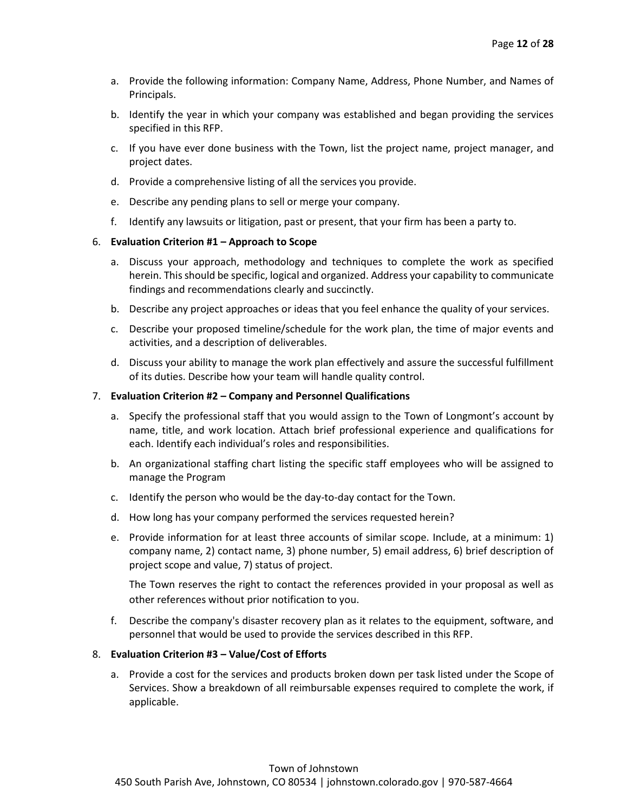- a. Provide the following information: Company Name, Address, Phone Number, and Names of Principals.
- b. Identify the year in which your company was established and began providing the services specified in this RFP.
- c. If you have ever done business with the Town, list the project name, project manager, and project dates.
- d. Provide a comprehensive listing of all the services you provide.
- e. Describe any pending plans to sell or merge your company.
- f. Identify any lawsuits or litigation, past or present, that your firm has been a party to.

#### 6. **Evaluation Criterion #1 – Approach to Scope**

- a. Discuss your approach, methodology and techniques to complete the work as specified herein. This should be specific, logical and organized. Address your capability to communicate findings and recommendations clearly and succinctly.
- b. Describe any project approaches or ideas that you feel enhance the quality of your services.
- c. Describe your proposed timeline/schedule for the work plan, the time of major events and activities, and a description of deliverables.
- d. Discuss your ability to manage the work plan effectively and assure the successful fulfillment of its duties. Describe how your team will handle quality control.

#### 7. **Evaluation Criterion #2 – Company and Personnel Qualifications**

- a. Specify the professional staff that you would assign to the Town of Longmont's account by name, title, and work location. Attach brief professional experience and qualifications for each. Identify each individual's roles and responsibilities.
- b. An organizational staffing chart listing the specific staff employees who will be assigned to manage the Program
- c. Identify the person who would be the day-to-day contact for the Town.
- d. How long has your company performed the services requested herein?
- e. Provide information for at least three accounts of similar scope. Include, at a minimum: 1) company name, 2) contact name, 3) phone number, 5) email address, 6) brief description of project scope and value, 7) status of project.

The Town reserves the right to contact the references provided in your proposal as well as other references without prior notification to you.

f. Describe the company's disaster recovery plan as it relates to the equipment, software, and personnel that would be used to provide the services described in this RFP.

#### 8. **Evaluation Criterion #3 – Value/Cost of Efforts**

a. Provide a cost for the services and products broken down per task listed under the Scope of Services. Show a breakdown of all reimbursable expenses required to complete the work, if applicable.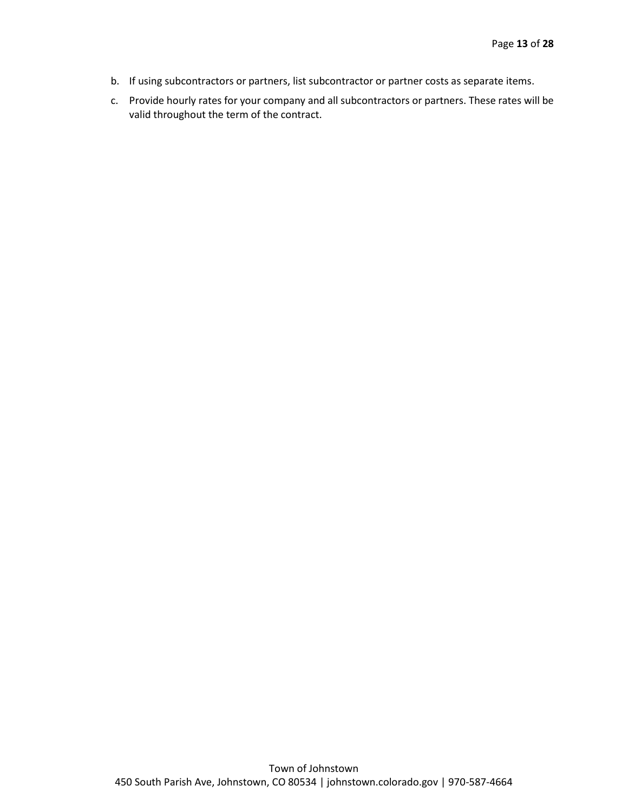- b. If using subcontractors or partners, list subcontractor or partner costs as separate items.
- c. Provide hourly rates for your company and all subcontractors or partners. These rates will be valid throughout the term of the contract.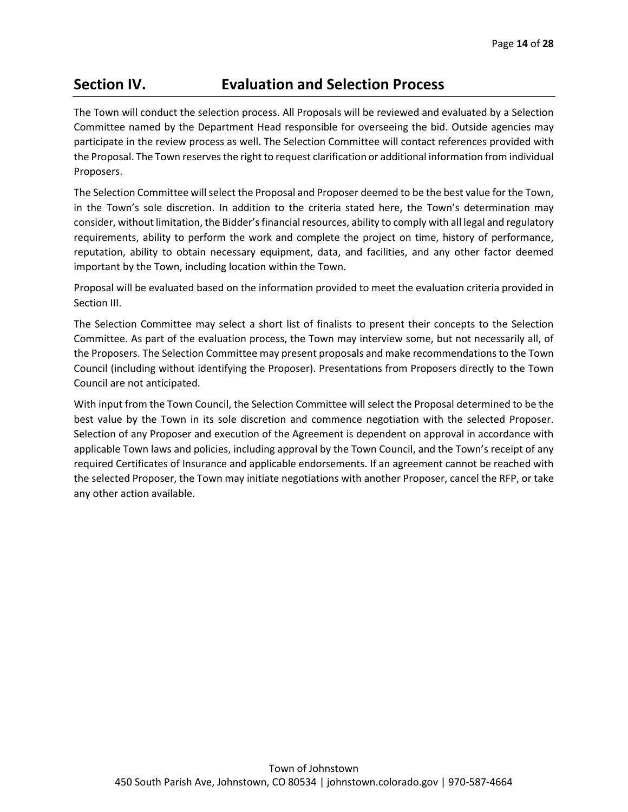# <span id="page-13-0"></span>**Section IV. Evaluation and Selection Process**

The Town will conduct the selection process. All Proposals will be reviewed and evaluated by a Selection Committee named by the Department Head responsible for overseeing the bid. Outside agencies may participate in the review process as well. The Selection Committee will contact references provided with the Proposal. The Town reserves the right to request clarification or additional information from individual Proposers.

The Selection Committee will select the Proposal and Proposer deemed to be the best value for the Town, in the Town's sole discretion. In addition to the criteria stated here, the Town's determination may consider, without limitation, the Bidder's financial resources, ability to comply with all legal and regulatory requirements, ability to perform the work and complete the project on time, history of performance, reputation, ability to obtain necessary equipment, data, and facilities, and any other factor deemed important by the Town, including location within the Town.

Proposal will be evaluated based on the information provided to meet the evaluation criteria provided in Section III.

The Selection Committee may select a short list of finalists to present their concepts to the Selection Committee. As part of the evaluation process, the Town may interview some, but not necessarily all, of the Proposers. The Selection Committee may present proposals and make recommendations to the Town Council (including without identifying the Proposer). Presentations from Proposers directly to the Town Council are not anticipated.

With input from the Town Council, the Selection Committee will select the Proposal determined to be the best value by the Town in its sole discretion and commence negotiation with the selected Proposer. Selection of any Proposer and execution of the Agreement is dependent on approval in accordance with applicable Town laws and policies, including approval by the Town Council, and the Town's receipt of any required Certificates of Insurance and applicable endorsements. If an agreement cannot be reached with the selected Proposer, the Town may initiate negotiations with another Proposer, cancel the RFP, or take any other action available.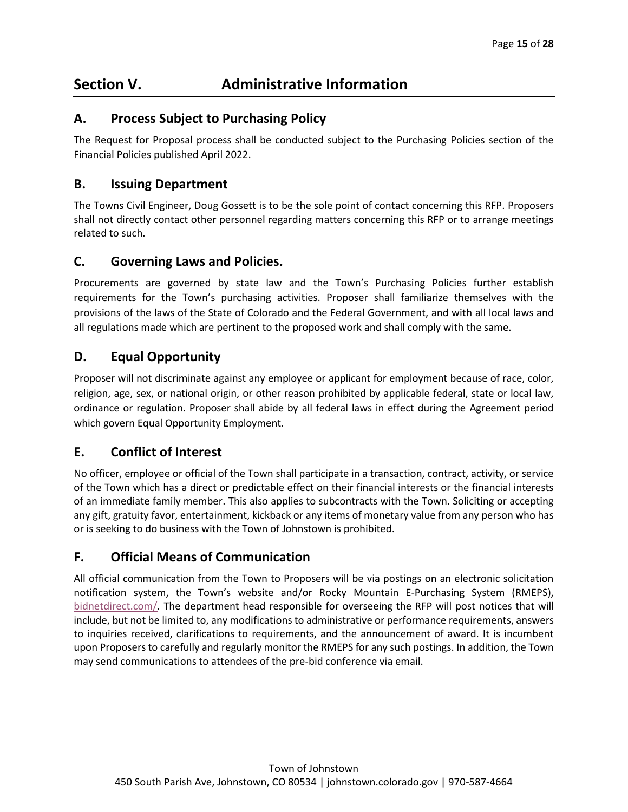# <span id="page-14-0"></span>**Section V. Administrative Information**

# **A. Process Subject to Purchasing Policy**

The Request for Proposal process shall be conducted subject to the Purchasing Policies section of the Financial Policies published April 2022.

# **B. Issuing Department**

The Towns Civil Engineer, Doug Gossett is to be the sole point of contact concerning this RFP. Proposers shall not directly contact other personnel regarding matters concerning this RFP or to arrange meetings related to such.

# **C. Governing Laws and Policies.**

Procurements are governed by state law and the Town's Purchasing Policies further establish requirements for the Town's purchasing activities. Proposer shall familiarize themselves with the provisions of the laws of the State of Colorado and the Federal Government, and with all local laws and all regulations made which are pertinent to the proposed work and shall comply with the same.

# **D. Equal Opportunity**

Proposer will not discriminate against any employee or applicant for employment because of race, color, religion, age, sex, or national origin, or other reason prohibited by applicable federal, state or local law, ordinance or regulation. Proposer shall abide by all federal laws in effect during the Agreement period which govern Equal Opportunity Employment.

# **E. Conflict of Interest**

No officer, employee or official of the Town shall participate in a transaction, contract, activity, or service of the Town which has a direct or predictable effect on their financial interests or the financial interests of an immediate family member. This also applies to subcontracts with the Town. Soliciting or accepting any gift, gratuity favor, entertainment, kickback or any items of monetary value from any person who has or is seeking to do business with the Town of Johnstown is prohibited.

# **F. Official Means of Communication**

All official communication from the Town to Proposers will be via postings on an electronic solicitation notification system, the Town's website and/or Rocky Mountain E-Purchasing System (RMEPS), [bidnetdirect.com/.](http://www.bidnetdirect.com/city-of-longmont) The department head responsible for overseeing the RFP will post notices that will include, but not be limited to, any modifications to administrative or performance requirements, answers to inquiries received, clarifications to requirements, and the announcement of award. It is incumbent upon Proposers to carefully and regularly monitor the RMEPS for any such postings. In addition, the Town may send communications to attendees of the pre-bid conference via email.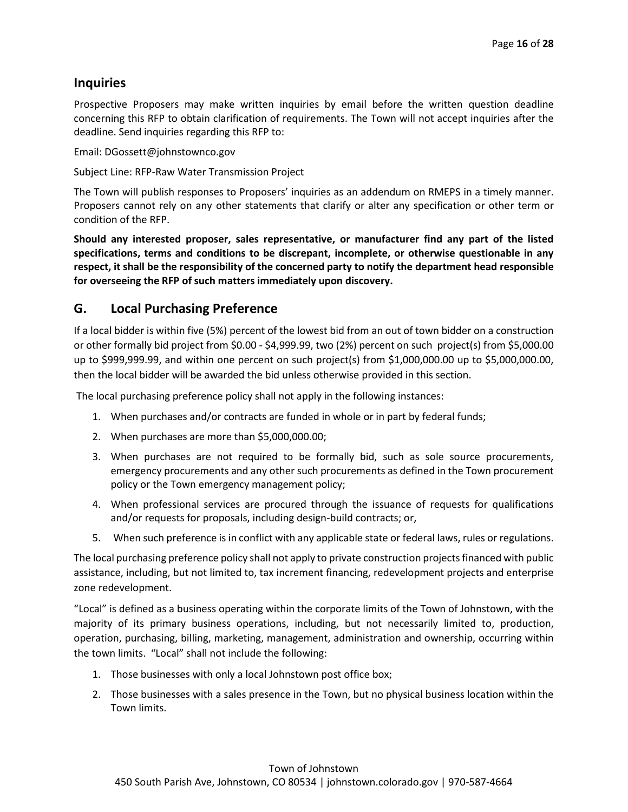# **Inquiries**

Prospective Proposers may make written inquiries by email before the written question deadline concerning this RFP to obtain clarification of requirements. The Town will not accept inquiries after the deadline. Send inquiries regarding this RFP to:

Email: DGossett@johnstownco.gov

Subject Line: RFP-Raw Water Transmission Project

The Town will publish responses to Proposers' inquiries as an addendum on RMEPS in a timely manner. Proposers cannot rely on any other statements that clarify or alter any specification or other term or condition of the RFP.

**Should any interested proposer, sales representative, or manufacturer find any part of the listed specifications, terms and conditions to be discrepant, incomplete, or otherwise questionable in any respect, it shall be the responsibility of the concerned party to notify the department head responsible for overseeing the RFP of such matters immediately upon discovery.**

## **G. Local Purchasing Preference**

If a local bidder is within five (5%) percent of the lowest bid from an out of town bidder on a construction or other formally bid project from \$0.00 - \$4,999.99, two (2%) percent on such project(s) from \$5,000.00 up to \$999,999.99, and within one percent on such project(s) from \$1,000,000.00 up to \$5,000,000.00, then the local bidder will be awarded the bid unless otherwise provided in this section.

The local purchasing preference policy shall not apply in the following instances:

- 1. When purchases and/or contracts are funded in whole or in part by federal funds;
- 2. When purchases are more than \$5,000,000.00;
- 3. When purchases are not required to be formally bid, such as sole source procurements, emergency procurements and any other such procurements as defined in the Town procurement policy or the Town emergency management policy;
- 4. When professional services are procured through the issuance of requests for qualifications and/or requests for proposals, including design-build contracts; or,
- 5. When such preference is in conflict with any applicable state or federal laws, rules or regulations.

The local purchasing preference policy shall not apply to private construction projects financed with public assistance, including, but not limited to, tax increment financing, redevelopment projects and enterprise zone redevelopment.

"Local" is defined as a business operating within the corporate limits of the Town of Johnstown, with the majority of its primary business operations, including, but not necessarily limited to, production, operation, purchasing, billing, marketing, management, administration and ownership, occurring within the town limits. "Local" shall not include the following:

- 1. Those businesses with only a local Johnstown post office box;
- 2. Those businesses with a sales presence in the Town, but no physical business location within the Town limits.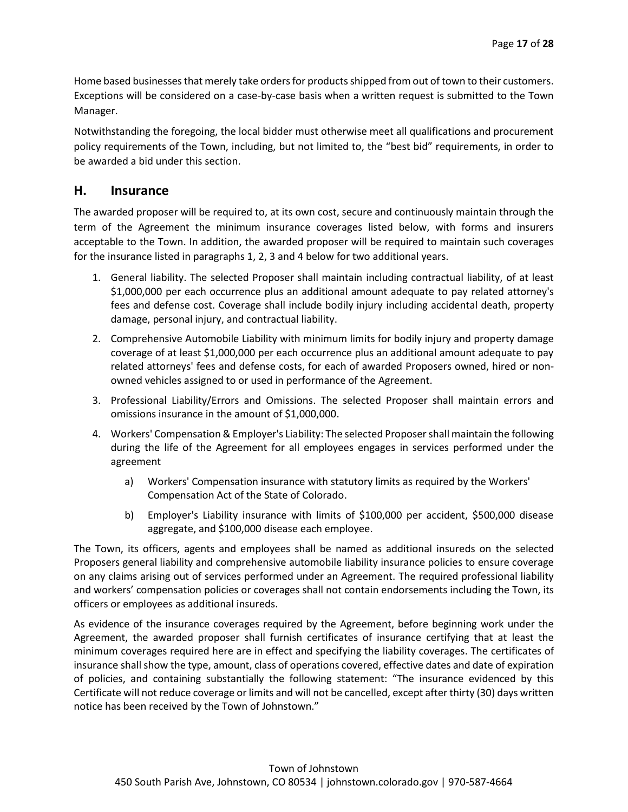Home based businesses that merely take orders for products shipped from out of town to their customers. Exceptions will be considered on a case-by-case basis when a written request is submitted to the Town Manager.

Notwithstanding the foregoing, the local bidder must otherwise meet all qualifications and procurement policy requirements of the Town, including, but not limited to, the "best bid" requirements, in order to be awarded a bid under this section.

### **H. Insurance**

The awarded proposer will be required to, at its own cost, secure and continuously maintain through the term of the Agreement the minimum insurance coverages listed below, with forms and insurers acceptable to the Town. In addition, the awarded proposer will be required to maintain such coverages for the insurance listed in paragraphs 1, 2, 3 and 4 below for two additional years.

- 1. General liability. The selected Proposer shall maintain including contractual liability, of at least \$1,000,000 per each occurrence plus an additional amount adequate to pay related attorney's fees and defense cost. Coverage shall include bodily injury including accidental death, property damage, personal injury, and contractual liability.
- 2. Comprehensive Automobile Liability with minimum limits for bodily injury and property damage coverage of at least \$1,000,000 per each occurrence plus an additional amount adequate to pay related attorneys' fees and defense costs, for each of awarded Proposers owned, hired or nonowned vehicles assigned to or used in performance of the Agreement.
- 3. Professional Liability/Errors and Omissions. The selected Proposer shall maintain errors and omissions insurance in the amount of \$1,000,000.
- 4. Workers' Compensation & Employer's Liability: The selected Proposer shall maintain the following during the life of the Agreement for all employees engages in services performed under the agreement
	- a) Workers' Compensation insurance with statutory limits as required by the Workers' Compensation Act of the State of Colorado.
	- b) Employer's Liability insurance with limits of \$100,000 per accident, \$500,000 disease aggregate, and \$100,000 disease each employee.

The Town, its officers, agents and employees shall be named as additional insureds on the selected Proposers general liability and comprehensive automobile liability insurance policies to ensure coverage on any claims arising out of services performed under an Agreement. The required professional liability and workers' compensation policies or coverages shall not contain endorsements including the Town, its officers or employees as additional insureds.

As evidence of the insurance coverages required by the Agreement, before beginning work under the Agreement, the awarded proposer shall furnish certificates of insurance certifying that at least the minimum coverages required here are in effect and specifying the liability coverages. The certificates of insurance shall show the type, amount, class of operations covered, effective dates and date of expiration of policies, and containing substantially the following statement: "The insurance evidenced by this Certificate will not reduce coverage or limits and will not be cancelled, except after thirty (30) days written notice has been received by the Town of Johnstown."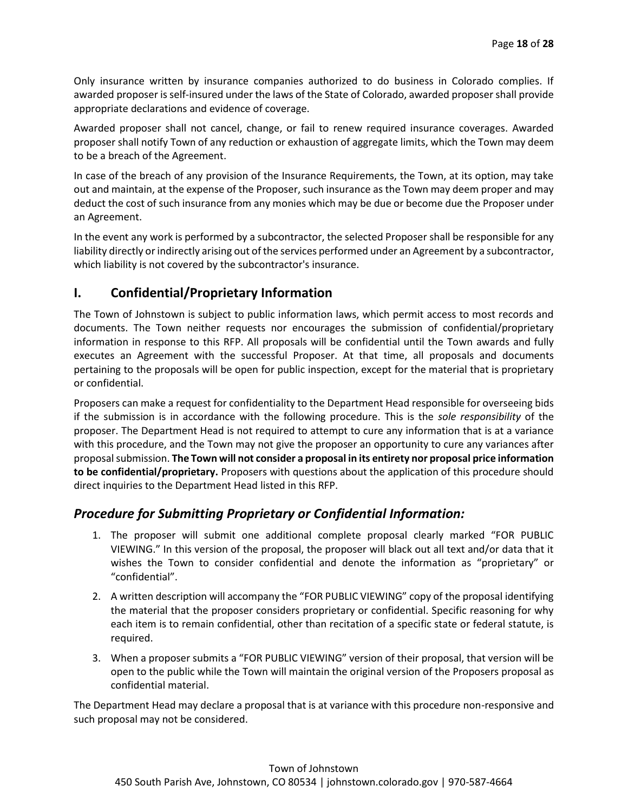Only insurance written by insurance companies authorized to do business in Colorado complies. If awarded proposer is self-insured under the laws of the State of Colorado, awarded proposer shall provide appropriate declarations and evidence of coverage.

Awarded proposer shall not cancel, change, or fail to renew required insurance coverages. Awarded proposer shall notify Town of any reduction or exhaustion of aggregate limits, which the Town may deem to be a breach of the Agreement.

In case of the breach of any provision of the Insurance Requirements, the Town, at its option, may take out and maintain, at the expense of the Proposer, such insurance as the Town may deem proper and may deduct the cost of such insurance from any monies which may be due or become due the Proposer under an Agreement.

In the event any work is performed by a subcontractor, the selected Proposer shall be responsible for any liability directly or indirectly arising out of the services performed under an Agreement by a subcontractor, which liability is not covered by the subcontractor's insurance.

# **I. Confidential/Proprietary Information**

The Town of Johnstown is subject to public information laws, which permit access to most records and documents. The Town neither requests nor encourages the submission of confidential/proprietary information in response to this RFP. All proposals will be confidential until the Town awards and fully executes an Agreement with the successful Proposer. At that time, all proposals and documents pertaining to the proposals will be open for public inspection, except for the material that is proprietary or confidential.

Proposers can make a request for confidentiality to the Department Head responsible for overseeing bids if the submission is in accordance with the following procedure. This is the *sole responsibility* of the proposer. The Department Head is not required to attempt to cure any information that is at a variance with this procedure, and the Town may not give the proposer an opportunity to cure any variances after proposal submission. **The Town will not consider a proposal in its entirety nor proposal price information to be confidential/proprietary.** Proposers with questions about the application of this procedure should direct inquiries to the Department Head listed in this RFP.

# *Procedure for Submitting Proprietary or Confidential Information:*

- 1. The proposer will submit one additional complete proposal clearly marked "FOR PUBLIC VIEWING." In this version of the proposal, the proposer will black out all text and/or data that it wishes the Town to consider confidential and denote the information as "proprietary" or "confidential".
- 2. A written description will accompany the "FOR PUBLIC VIEWING" copy of the proposal identifying the material that the proposer considers proprietary or confidential. Specific reasoning for why each item is to remain confidential, other than recitation of a specific state or federal statute, is required.
- 3. When a proposer submits a "FOR PUBLIC VIEWING" version of their proposal, that version will be open to the public while the Town will maintain the original version of the Proposers proposal as confidential material.

The Department Head may declare a proposal that is at variance with this procedure non-responsive and such proposal may not be considered.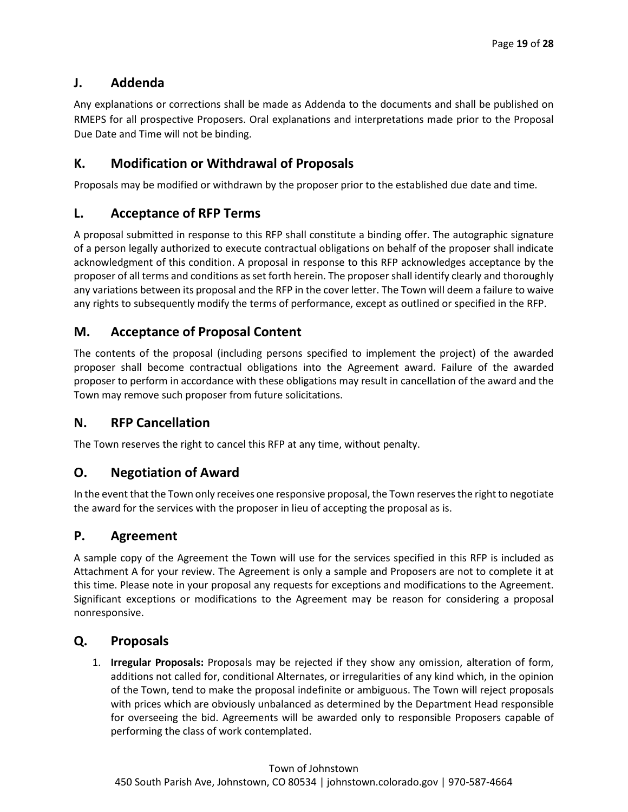# **J. Addenda**

Any explanations or corrections shall be made as Addenda to the documents and shall be published on RMEPS for all prospective Proposers. Oral explanations and interpretations made prior to the Proposal Due Date and Time will not be binding.

# **K. Modification or Withdrawal of Proposals**

Proposals may be modified or withdrawn by the proposer prior to the established due date and time.

# **L. Acceptance of RFP Terms**

A proposal submitted in response to this RFP shall constitute a binding offer. The autographic signature of a person legally authorized to execute contractual obligations on behalf of the proposer shall indicate acknowledgment of this condition. A proposal in response to this RFP acknowledges acceptance by the proposer of all terms and conditions as set forth herein. The proposer shall identify clearly and thoroughly any variations between its proposal and the RFP in the cover letter. The Town will deem a failure to waive any rights to subsequently modify the terms of performance, except as outlined or specified in the RFP.

# **M. Acceptance of Proposal Content**

The contents of the proposal (including persons specified to implement the project) of the awarded proposer shall become contractual obligations into the Agreement award. Failure of the awarded proposer to perform in accordance with these obligations may result in cancellation of the award and the Town may remove such proposer from future solicitations.

## **N. RFP Cancellation**

The Town reserves the right to cancel this RFP at any time, without penalty.

# **O. Negotiation of Award**

In the event that the Town only receives one responsive proposal, the Town reserves the right to negotiate the award for the services with the proposer in lieu of accepting the proposal as is.

# **P. Agreement**

A sample copy of the Agreement the Town will use for the services specified in this RFP is included as Attachment A for your review. The Agreement is only a sample and Proposers are not to complete it at this time. Please note in your proposal any requests for exceptions and modifications to the Agreement. Significant exceptions or modifications to the Agreement may be reason for considering a proposal nonresponsive.

# **Q. Proposals**

1. **Irregular Proposals:** Proposals may be rejected if they show any omission, alteration of form, additions not called for, conditional Alternates, or irregularities of any kind which, in the opinion of the Town, tend to make the proposal indefinite or ambiguous. The Town will reject proposals with prices which are obviously unbalanced as determined by the Department Head responsible for overseeing the bid. Agreements will be awarded only to responsible Proposers capable of performing the class of work contemplated.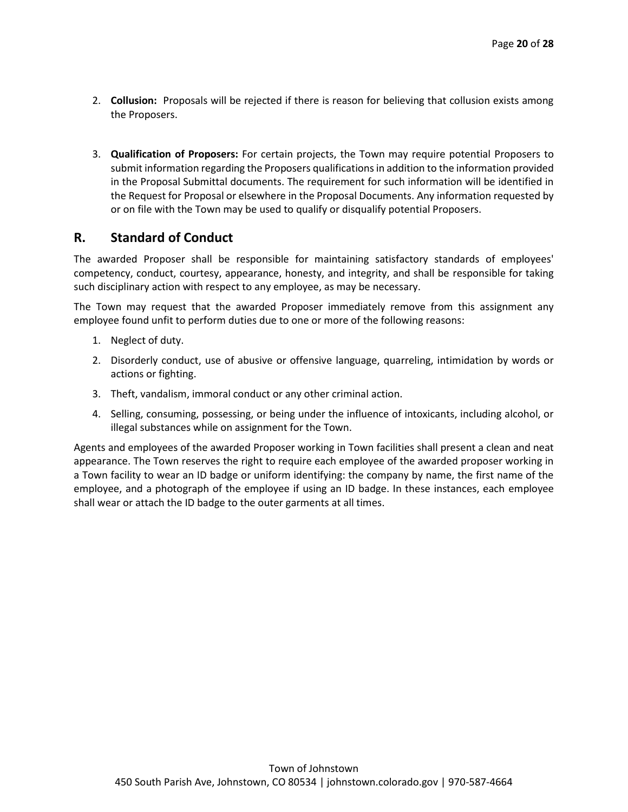- 2. **Collusion:** Proposals will be rejected if there is reason for believing that collusion exists among the Proposers.
- 3. **Qualification of Proposers:** For certain projects, the Town may require potential Proposers to submit information regarding the Proposers qualifications in addition to the information provided in the Proposal Submittal documents. The requirement for such information will be identified in the Request for Proposal or elsewhere in the Proposal Documents. Any information requested by or on file with the Town may be used to qualify or disqualify potential Proposers.

### **R. Standard of Conduct**

The awarded Proposer shall be responsible for maintaining satisfactory standards of employees' competency, conduct, courtesy, appearance, honesty, and integrity, and shall be responsible for taking such disciplinary action with respect to any employee, as may be necessary.

The Town may request that the awarded Proposer immediately remove from this assignment any employee found unfit to perform duties due to one or more of the following reasons:

- 1. Neglect of duty.
- 2. Disorderly conduct, use of abusive or offensive language, quarreling, intimidation by words or actions or fighting.
- 3. Theft, vandalism, immoral conduct or any other criminal action.
- 4. Selling, consuming, possessing, or being under the influence of intoxicants, including alcohol, or illegal substances while on assignment for the Town.

Agents and employees of the awarded Proposer working in Town facilities shall present a clean and neat appearance. The Town reserves the right to require each employee of the awarded proposer working in a Town facility to wear an ID badge or uniform identifying: the company by name, the first name of the employee, and a photograph of the employee if using an ID badge. In these instances, each employee shall wear or attach the ID badge to the outer garments at all times.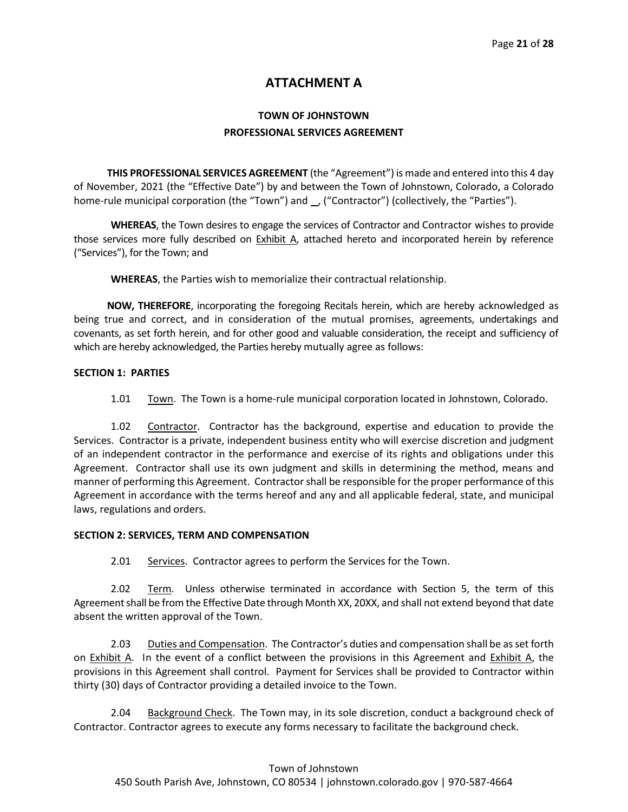# **ATTACHMENT A**

# **TOWN OF JOHNSTOWN PROFESSIONAL SERVICES AGREEMENT**

**THIS PROFESSIONAL SERVICES AGREEMENT** (the "Agreement") is made and entered into this 4 day of November, 2021 (the "Effective Date") by and between the Town of Johnstown, Colorado, a Colorado home-rule municipal corporation (the "Town") and \_, ("Contractor") (collectively, the "Parties").

**WHEREAS**, the Town desires to engage the services of Contractor and Contractor wishes to provide those services more fully described on **Exhibit A**, attached hereto and incorporated herein by reference ("Services"), for the Town; and

**WHEREAS**, the Parties wish to memorialize their contractual relationship.

**NOW, THEREFORE**, incorporating the foregoing Recitals herein, which are hereby acknowledged as being true and correct, and in consideration of the mutual promises, agreements, undertakings and covenants, as set forth herein, and for other good and valuable consideration, the receipt and sufficiency of which are hereby acknowledged, the Parties hereby mutually agree as follows:

#### **SECTION 1: PARTIES**

1.01 Town. The Town is a home-rule municipal corporation located in Johnstown, Colorado.

1.02 Contractor. Contractor has the background, expertise and education to provide the Services. Contractor is a private, independent business entity who will exercise discretion and judgment of an independent contractor in the performance and exercise of its rights and obligations under this Agreement. Contractor shall use its own judgment and skills in determining the method, means and manner of performing this Agreement. Contractorshall be responsible for the proper performance of this Agreement in accordance with the terms hereof and any and all applicable federal, state, and municipal laws, regulations and orders.

#### **SECTION 2: SERVICES, TERM AND COMPENSATION**

2.01 Services. Contractor agrees to perform the Services for the Town.

2.02 Term. Unless otherwise terminated in accordance with Section 5, the term of this Agreement shall be from the Effective Date through Month XX, 20XX, and shall not extend beyond that date absent the written approval of the Town.

2.03 Duties and Compensation. The Contractor's duties and compensation shall be as set forth on **Exhibit A.** In the event of a conflict between the provisions in this Agreement and **Exhibit A**, the provisions in this Agreement shall control. Payment for Services shall be provided to Contractor within thirty (30) days of Contractor providing a detailed invoice to the Town.

2.04 Background Check. The Town may, in its sole discretion, conduct a background check of Contractor. Contractor agrees to execute any forms necessary to facilitate the background check.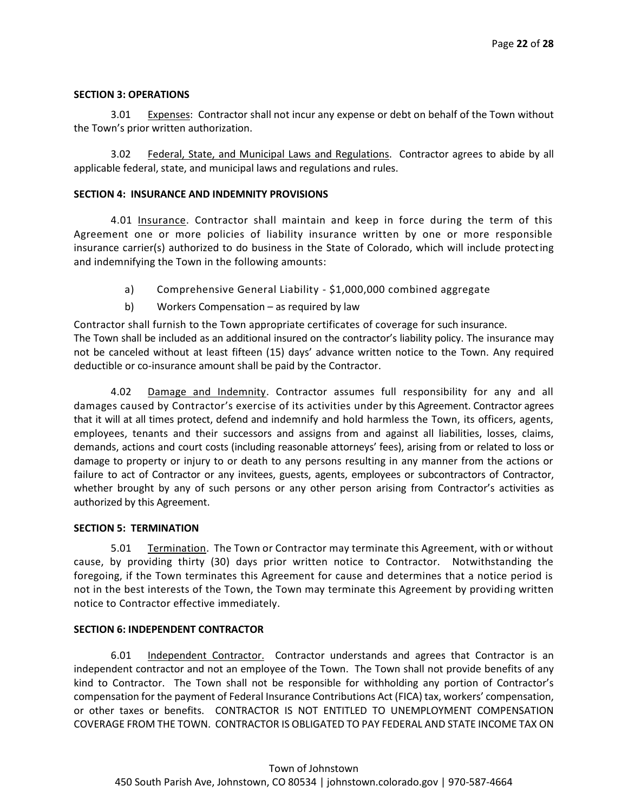#### **SECTION 3: OPERATIONS**

3.01 Expenses: Contractor shall not incur any expense or debt on behalf of the Town without the Town's prior written authorization.

3.02 Federal, State, and Municipal Laws and Regulations.Contractor agrees to abide by all applicable federal, state, and municipal laws and regulations and rules.

#### **SECTION 4: INSURANCE AND INDEMNITY PROVISIONS**

4.01 Insurance. Contractor shall maintain and keep in force during the term of this Agreement one or more policies of liability insurance written by one or more responsible insurance carrier(s) authorized to do business in the State of Colorado, which will include protecting and indemnifying the Town in the following amounts:

- a) Comprehensive General Liability \$1,000,000 combined aggregate
- b) Workers Compensation as required by law

Contractor shall furnish to the Town appropriate certificates of coverage for such insurance. The Town shall be included as an additional insured on the contractor's liability policy. The insurance may not be canceled without at least fifteen (15) days' advance written notice to the Town. Any required deductible or co-insurance amount shall be paid by the Contractor.

4.02 Damage and Indemnity. Contractor assumes full responsibility for any and all damages caused by Contractor's exercise of its activities under by this Agreement. Contractor agrees that it will at all times protect, defend and indemnify and hold harmless the Town, its officers, agents, employees, tenants and their successors and assigns from and against all liabilities, losses, claims, demands, actions and court costs (including reasonable attorneys' fees), arising from or related to loss or damage to property or injury to or death to any persons resulting in any manner from the actions or failure to act of Contractor or any invitees, guests, agents, employees or subcontractors of Contractor, whether brought by any of such persons or any other person arising from Contractor's activities as authorized by this Agreement.

#### **SECTION 5: TERMINATION**

5.01 Termination. The Town or Contractor may terminate this Agreement, with or without cause, by providing thirty (30) days prior written notice to Contractor. Notwithstanding the foregoing, if the Town terminates this Agreement for cause and determines that a notice period is not in the best interests of the Town, the Town may terminate this Agreement by providing written notice to Contractor effective immediately.

#### **SECTION 6: INDEPENDENT CONTRACTOR**

6.01 Independent Contractor. Contractor understands and agrees that Contractor is an independent contractor and not an employee of the Town. The Town shall not provide benefits of any kind to Contractor. The Town shall not be responsible for withholding any portion of Contractor's compensation for the payment of Federal Insurance Contributions Act (FICA) tax, workers' compensation, or other taxes or benefits. CONTRACTOR IS NOT ENTITLED TO UNEMPLOYMENT COMPENSATION COVERAGE FROM THE TOWN. CONTRACTOR IS OBLIGATED TO PAY FEDERAL AND STATE INCOME TAX ON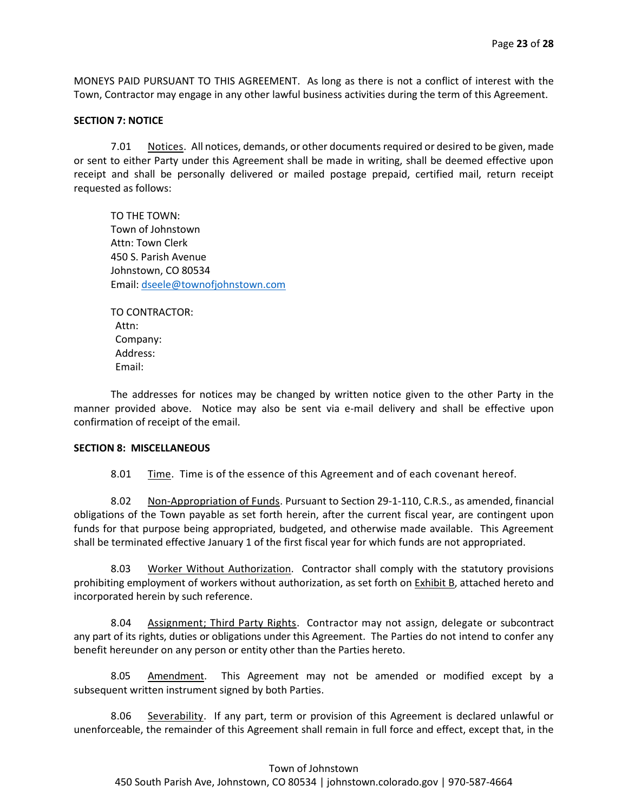MONEYS PAID PURSUANT TO THIS AGREEMENT. As long as there is not a conflict of interest with the Town, Contractor may engage in any other lawful business activities during the term of this Agreement.

#### **SECTION 7: NOTICE**

7.01 Notices. All notices, demands, or other documents required or desired to be given, made or sent to either Party under this Agreement shall be made in writing, shall be deemed effective upon receipt and shall be personally delivered or mailed postage prepaid, certified mail, return receipt requested as follows:

TO THE TOWN: Town of Johnstown Attn: Town Clerk 450 S. Parish Avenue Johnstown, CO 80534 Email: [dseele@townofjohnstown.com](mailto:dseele@townofjohnstown.com)

TO CONTRACTOR: Attn: Company: Address: Email:

The addresses for notices may be changed by written notice given to the other Party in the manner provided above. Notice may also be sent via e-mail delivery and shall be effective upon confirmation of receipt of the email.

#### **SECTION 8: MISCELLANEOUS**

8.01 Time. Time is of the essence of this Agreement and of each covenant hereof.

8.02 Non-Appropriation of Funds. Pursuant to Section 29-1-110, C.R.S., as amended, financial obligations of the Town payable as set forth herein, after the current fiscal year, are contingent upon funds for that purpose being appropriated, budgeted, and otherwise made available. This Agreement shall be terminated effective January 1 of the first fiscal year for which funds are not appropriated.

8.03 Worker Without Authorization. Contractor shall comply with the statutory provisions prohibiting employment of workers without authorization, as set forth on Exhibit B, attached hereto and incorporated herein by such reference.

8.04 Assignment; Third Party Rights. Contractor may not assign, delegate or subcontract any part of its rights, duties or obligations under this Agreement. The Parties do not intend to confer any benefit hereunder on any person or entity other than the Parties hereto.

8.05 Amendment. This Agreement may not be amended or modified except by a subsequent written instrument signed by both Parties.

8.06 Severability. If any part, term or provision of this Agreement is declared unlawful or unenforceable, the remainder of this Agreement shall remain in full force and effect, except that, in the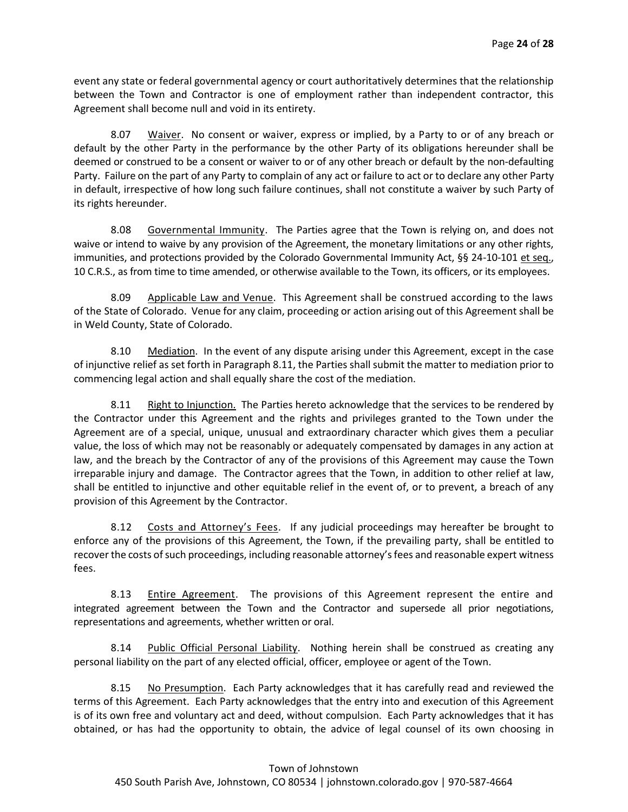event any state or federal governmental agency or court authoritatively determines that the relationship between the Town and Contractor is one of employment rather than independent contractor, this Agreement shall become null and void in its entirety.

8.07 Waiver. No consent or waiver, express or implied, by a Party to or of any breach or default by the other Party in the performance by the other Party of its obligations hereunder shall be deemed or construed to be a consent or waiver to or of any other breach or default by the non-defaulting Party. Failure on the part of any Party to complain of any act or failure to act or to declare any other Party in default, irrespective of how long such failure continues, shall not constitute a waiver by such Party of its rights hereunder.

8.08 Governmental Immunity. The Parties agree that the Town is relying on, and does not waive or intend to waive by any provision of the Agreement, the monetary limitations or any other rights, immunities, and protections provided by the Colorado Governmental Immunity Act, §§ 24-10-101 et seq., 10 C.R.S., as from time to time amended, or otherwise available to the Town, its officers, or its employees.

8.09 Applicable Law and Venue. This Agreement shall be construed according to the laws of the State of Colorado. Venue for any claim, proceeding or action arising out of this Agreement shall be in Weld County, State of Colorado.

8.10 Mediation. In the event of any dispute arising under this Agreement, except in the case of injunctive relief as set forth in Paragraph 8.11, the Parties shall submit the matter to mediation prior to commencing legal action and shall equally share the cost of the mediation.

8.11 Right to Injunction. The Parties hereto acknowledge that the services to be rendered by the Contractor under this Agreement and the rights and privileges granted to the Town under the Agreement are of a special, unique, unusual and extraordinary character which gives them a peculiar value, the loss of which may not be reasonably or adequately compensated by damages in any action at law, and the breach by the Contractor of any of the provisions of this Agreement may cause the Town irreparable injury and damage. The Contractor agrees that the Town, in addition to other relief at law, shall be entitled to injunctive and other equitable relief in the event of, or to prevent, a breach of any provision of this Agreement by the Contractor.

8.12 Costs and Attorney's Fees. If any judicial proceedings may hereafter be brought to enforce any of the provisions of this Agreement, the Town, if the prevailing party, shall be entitled to recover the costs of such proceedings, including reasonable attorney's fees and reasonable expert witness fees.

8.13 Entire Agreement. The provisions of this Agreement represent the entire and integrated agreement between the Town and the Contractor and supersede all prior negotiations, representations and agreements, whether written or oral.

8.14 Public Official Personal Liability. Nothing herein shall be construed as creating any personal liability on the part of any elected official, officer, employee or agent of the Town.

8.15 No Presumption. Each Party acknowledges that it has carefully read and reviewed the terms of this Agreement. Each Party acknowledges that the entry into and execution of this Agreement is of its own free and voluntary act and deed, without compulsion. Each Party acknowledges that it has obtained, or has had the opportunity to obtain, the advice of legal counsel of its own choosing in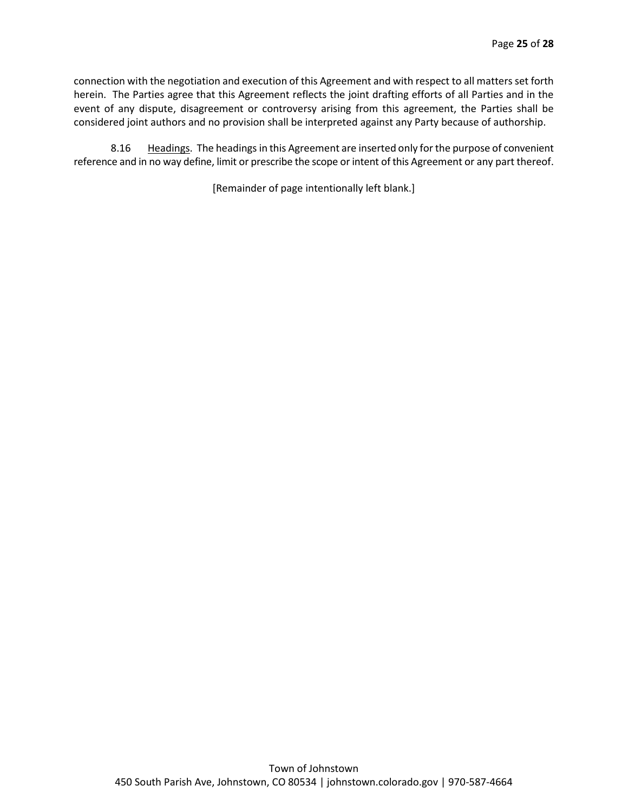connection with the negotiation and execution of this Agreement and with respect to all matters set forth herein. The Parties agree that this Agreement reflects the joint drafting efforts of all Parties and in the event of any dispute, disagreement or controversy arising from this agreement, the Parties shall be considered joint authors and no provision shall be interpreted against any Party because of authorship.

8.16 Headings. The headings in this Agreement are inserted only for the purpose of convenient reference and in no way define, limit or prescribe the scope or intent of this Agreement or any part thereof.

[Remainder of page intentionally left blank.]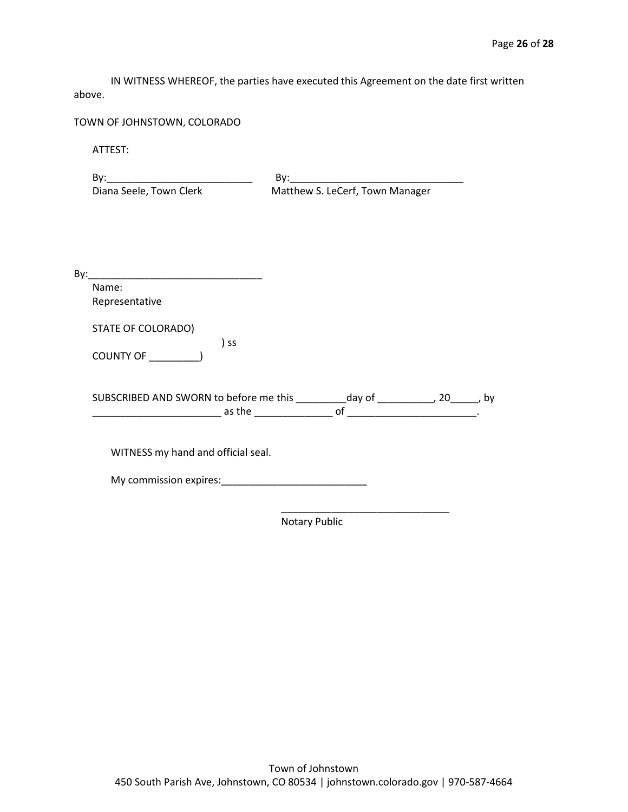IN WITNESS WHEREOF, the parties have executed this Agreement on the date first written above.

TOWN OF JOHNSTOWN, COLORADO

ATTEST:

| $\mathsf{By:}$                     | By: the contract of the contract of the contract of the contract of the contract of the contract of the contract of the contract of the contract of the contract of the contract of the contract of the contract of the contra |
|------------------------------------|--------------------------------------------------------------------------------------------------------------------------------------------------------------------------------------------------------------------------------|
| Diana Seele, Town Clerk            | Matthew S. LeCerf, Town Manager                                                                                                                                                                                                |
|                                    |                                                                                                                                                                                                                                |
|                                    |                                                                                                                                                                                                                                |
|                                    |                                                                                                                                                                                                                                |
| Name:                              |                                                                                                                                                                                                                                |
| Representative                     |                                                                                                                                                                                                                                |
| STATE OF COLORADO)                 |                                                                                                                                                                                                                                |
|                                    | ) ss                                                                                                                                                                                                                           |
|                                    | SUBSCRIBED AND SWORN to before me this __________ day of ____________, 20______, by                                                                                                                                            |
|                                    |                                                                                                                                                                                                                                |
| WITNESS my hand and official seal. |                                                                                                                                                                                                                                |
| My commission expires:             |                                                                                                                                                                                                                                |

Notary Public

 $\frac{1}{\sqrt{2\pi}}$  ,  $\frac{1}{\sqrt{2\pi}}$  ,  $\frac{1}{\sqrt{2\pi}}$  ,  $\frac{1}{\sqrt{2\pi}}$  ,  $\frac{1}{\sqrt{2\pi}}$  ,  $\frac{1}{\sqrt{2\pi}}$  ,  $\frac{1}{\sqrt{2\pi}}$  ,  $\frac{1}{\sqrt{2\pi}}$  ,  $\frac{1}{\sqrt{2\pi}}$  ,  $\frac{1}{\sqrt{2\pi}}$  ,  $\frac{1}{\sqrt{2\pi}}$  ,  $\frac{1}{\sqrt{2\pi}}$  ,  $\frac{1}{\sqrt{2\pi}}$  ,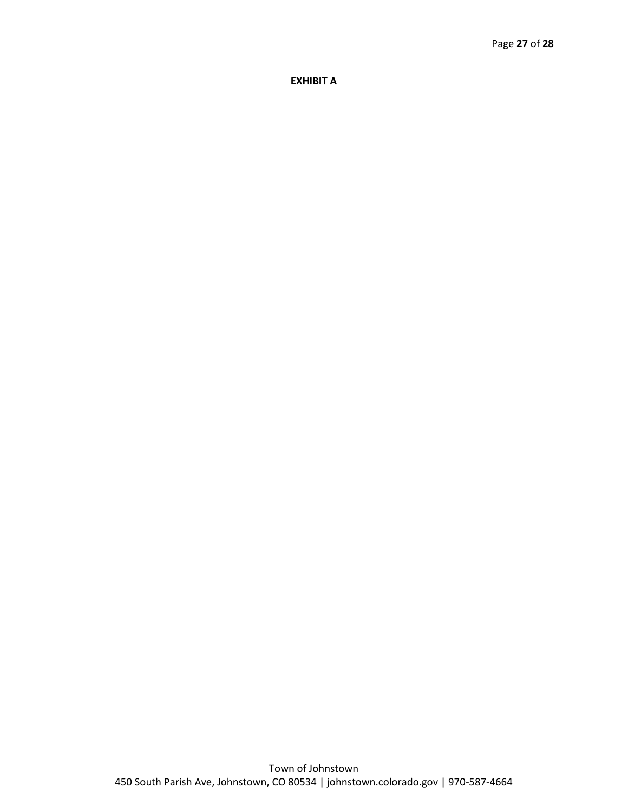**EXHIBIT A**